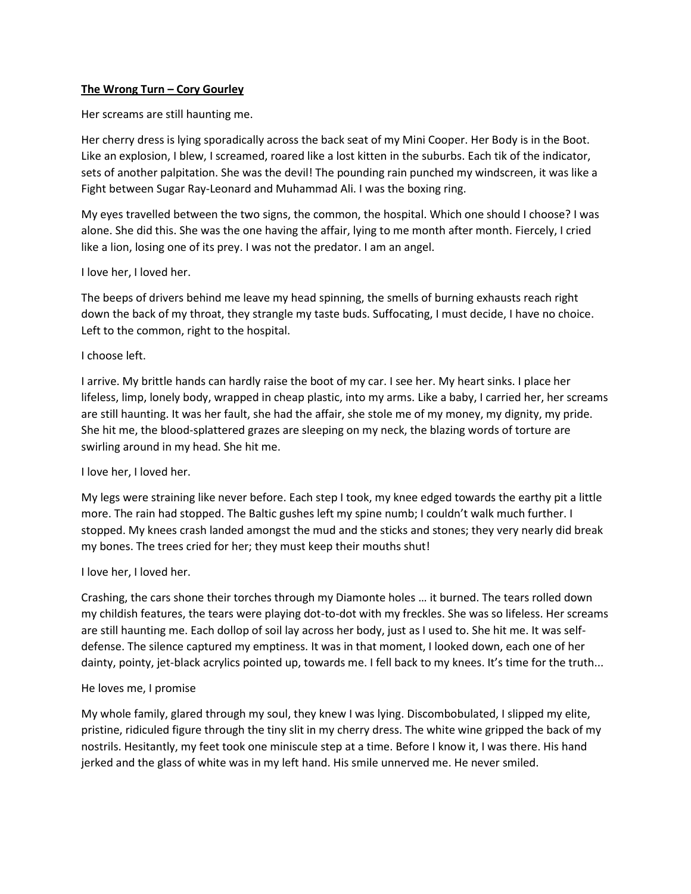### **The Wrong Turn – Cory Gourley**

Her screams are still haunting me.

Her cherry dress is lying sporadically across the back seat of my Mini Cooper. Her Body is in the Boot. Like an explosion, I blew, I screamed, roared like a lost kitten in the suburbs. Each tik of the indicator, sets of another palpitation. She was the devil! The pounding rain punched my windscreen, it was like a Fight between Sugar Ray-Leonard and Muhammad Ali. I was the boxing ring.

My eyes travelled between the two signs, the common, the hospital. Which one should I choose? I was alone. She did this. She was the one having the affair, lying to me month after month. Fiercely, I cried like a lion, losing one of its prey. I was not the predator. I am an angel.

### I love her, I loved her.

The beeps of drivers behind me leave my head spinning, the smells of burning exhausts reach right down the back of my throat, they strangle my taste buds. Suffocating, I must decide, I have no choice. Left to the common, right to the hospital.

# I choose left.

I arrive. My brittle hands can hardly raise the boot of my car. I see her. My heart sinks. I place her lifeless, limp, lonely body, wrapped in cheap plastic, into my arms. Like a baby, I carried her, her screams are still haunting. It was her fault, she had the affair, she stole me of my money, my dignity, my pride. She hit me, the blood-splattered grazes are sleeping on my neck, the blazing words of torture are swirling around in my head. She hit me.

### I love her, I loved her.

My legs were straining like never before. Each step I took, my knee edged towards the earthy pit a little more. The rain had stopped. The Baltic gushes left my spine numb; I couldn't walk much further. I stopped. My knees crash landed amongst the mud and the sticks and stones; they very nearly did break my bones. The trees cried for her; they must keep their mouths shut!

### I love her, I loved her.

Crashing, the cars shone their torches through my Diamonte holes … it burned. The tears rolled down my childish features, the tears were playing dot-to-dot with my freckles. She was so lifeless. Her screams are still haunting me. Each dollop of soil lay across her body, just as I used to. She hit me. It was selfdefense. The silence captured my emptiness. It was in that moment, I looked down, each one of her dainty, pointy, jet-black acrylics pointed up, towards me. I fell back to my knees. It's time for the truth...

### He loves me, I promise

My whole family, glared through my soul, they knew I was lying. Discombobulated, I slipped my elite, pristine, ridiculed figure through the tiny slit in my cherry dress. The white wine gripped the back of my nostrils. Hesitantly, my feet took one miniscule step at a time. Before I know it, I was there. His hand jerked and the glass of white was in my left hand. His smile unnerved me. He never smiled.